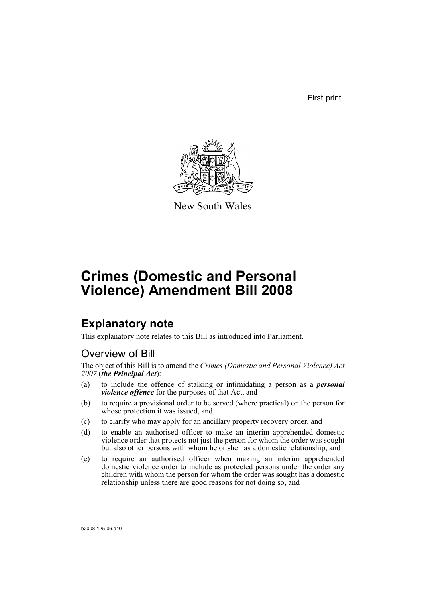First print



New South Wales

# **Crimes (Domestic and Personal Violence) Amendment Bill 2008**

## **Explanatory note**

This explanatory note relates to this Bill as introduced into Parliament.

## Overview of Bill

The object of this Bill is to amend the *Crimes (Domestic and Personal Violence) Act 2007* (*the Principal Act*):

- (a) to include the offence of stalking or intimidating a person as a *personal violence offence* for the purposes of that Act, and
- (b) to require a provisional order to be served (where practical) on the person for whose protection it was issued, and
- (c) to clarify who may apply for an ancillary property recovery order, and
- (d) to enable an authorised officer to make an interim apprehended domestic violence order that protects not just the person for whom the order was sought but also other persons with whom he or she has a domestic relationship, and
- (e) to require an authorised officer when making an interim apprehended domestic violence order to include as protected persons under the order any children with whom the person for whom the order was sought has a domestic relationship unless there are good reasons for not doing so, and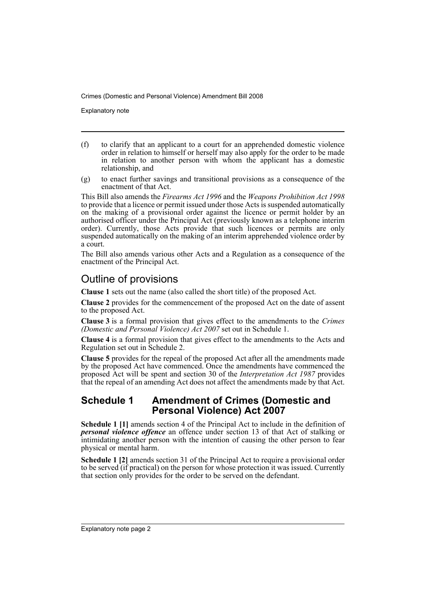Explanatory note

- (f) to clarify that an applicant to a court for an apprehended domestic violence order in relation to himself or herself may also apply for the order to be made in relation to another person with whom the applicant has a domestic relationship, and
- (g) to enact further savings and transitional provisions as a consequence of the enactment of that Act.

This Bill also amends the *Firearms Act 1996* and the *Weapons Prohibition Act 1998* to provide that a licence or permit issued under those Acts is suspended automatically on the making of a provisional order against the licence or permit holder by an authorised officer under the Principal Act (previously known as a telephone interim order). Currently, those Acts provide that such licences or permits are only suspended automatically on the making of an interim apprehended violence order by a court.

The Bill also amends various other Acts and a Regulation as a consequence of the enactment of the Principal Act.

## Outline of provisions

**Clause 1** sets out the name (also called the short title) of the proposed Act.

**Clause 2** provides for the commencement of the proposed Act on the date of assent to the proposed Act.

**Clause 3** is a formal provision that gives effect to the amendments to the *Crimes (Domestic and Personal Violence) Act 2007* set out in Schedule 1.

**Clause 4** is a formal provision that gives effect to the amendments to the Acts and Regulation set out in Schedule 2.

**Clause 5** provides for the repeal of the proposed Act after all the amendments made by the proposed Act have commenced. Once the amendments have commenced the proposed Act will be spent and section 30 of the *Interpretation Act 1987* provides that the repeal of an amending Act does not affect the amendments made by that Act.

### **Schedule 1 Amendment of Crimes (Domestic and Personal Violence) Act 2007**

**Schedule 1 [1]** amends section 4 of the Principal Act to include in the definition of *personal violence offence* an offence under section 13 of that Act of stalking or intimidating another person with the intention of causing the other person to fear physical or mental harm.

**Schedule 1 [2]** amends section 31 of the Principal Act to require a provisional order to be served (if practical) on the person for whose protection it was issued. Currently that section only provides for the order to be served on the defendant.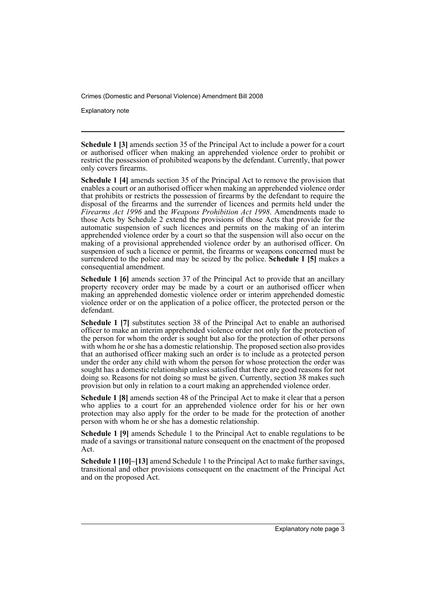Explanatory note

**Schedule 1 [3]** amends section 35 of the Principal Act to include a power for a court or authorised officer when making an apprehended violence order to prohibit or restrict the possession of prohibited weapons by the defendant. Currently, that power only covers firearms.

**Schedule 1 [4]** amends section 35 of the Principal Act to remove the provision that enables a court or an authorised officer when making an apprehended violence order that prohibits or restricts the possession of firearms by the defendant to require the disposal of the firearms and the surrender of licences and permits held under the *Firearms Act 1996* and the *Weapons Prohibition Act 1998*. Amendments made to those Acts by Schedule 2 extend the provisions of those Acts that provide for the automatic suspension of such licences and permits on the making of an interim apprehended violence order by a court so that the suspension will also occur on the making of a provisional apprehended violence order by an authorised officer. On suspension of such a licence or permit, the firearms or weapons concerned must be surrendered to the police and may be seized by the police. **Schedule 1 [5]** makes a consequential amendment.

**Schedule 1 [6]** amends section 37 of the Principal Act to provide that an ancillary property recovery order may be made by a court or an authorised officer when making an apprehended domestic violence order or interim apprehended domestic violence order or on the application of a police officer, the protected person or the defendant.

**Schedule 1 [7]** substitutes section 38 of the Principal Act to enable an authorised officer to make an interim apprehended violence order not only for the protection of the person for whom the order is sought but also for the protection of other persons with whom he or she has a domestic relationship. The proposed section also provides that an authorised officer making such an order is to include as a protected person under the order any child with whom the person for whose protection the order was sought has a domestic relationship unless satisfied that there are good reasons for not doing so. Reasons for not doing so must be given. Currently, section 38 makes such provision but only in relation to a court making an apprehended violence order.

**Schedule 1 [8]** amends section 48 of the Principal Act to make it clear that a person who applies to a court for an apprehended violence order for his or her own protection may also apply for the order to be made for the protection of another person with whom he or she has a domestic relationship.

**Schedule 1 [9]** amends Schedule 1 to the Principal Act to enable regulations to be made of a savings or transitional nature consequent on the enactment of the proposed Act.

**Schedule 1 [10]–[13]** amend Schedule 1 to the Principal Act to make further savings, transitional and other provisions consequent on the enactment of the Principal Act and on the proposed Act.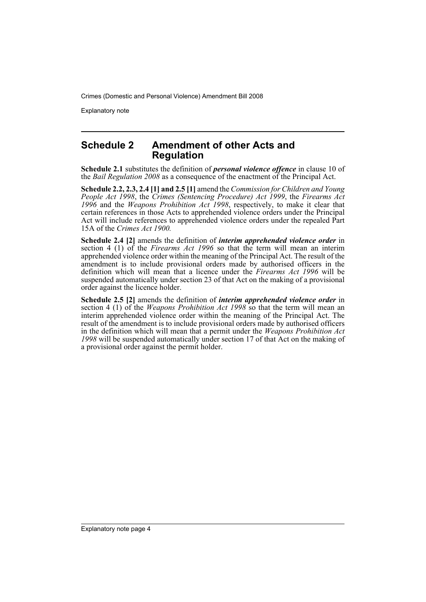Explanatory note

### **Schedule 2 Amendment of other Acts and Regulation**

**Schedule 2.1** substitutes the definition of *personal violence offence* in clause 10 of the *Bail Regulation 2008* as a consequence of the enactment of the Principal Act.

**Schedule 2.2, 2.3, 2.4 [1] and 2.5 [1]** amend the *Commission for Children and Young People Act 1998*, the *Crimes (Sentencing Procedure) Act 1999*, the *Firearms Act 1996* and the *Weapons Prohibition Act 1998*, respectively, to make it clear that certain references in those Acts to apprehended violence orders under the Principal Act will include references to apprehended violence orders under the repealed Part 15A of the *Crimes Act 1900.*

**Schedule 2.4 [2]** amends the definition of *interim apprehended violence order* in section 4 (1) of the *Firearms Act 1996* so that the term will mean an interim apprehended violence order within the meaning of the Principal Act. The result of the amendment is to include provisional orders made by authorised officers in the definition which will mean that a licence under the *Firearms Act 1996* will be suspended automatically under section 23 of that Act on the making of a provisional order against the licence holder.

**Schedule 2.5 [2]** amends the definition of *interim apprehended violence order* in section 4 (1) of the *Weapons Prohibition Act 1998* so that the term will mean an interim apprehended violence order within the meaning of the Principal Act. The result of the amendment is to include provisional orders made by authorised officers in the definition which will mean that a permit under the *Weapons Prohibition Act 1998* will be suspended automatically under section 17 of that Act on the making of a provisional order against the permit holder.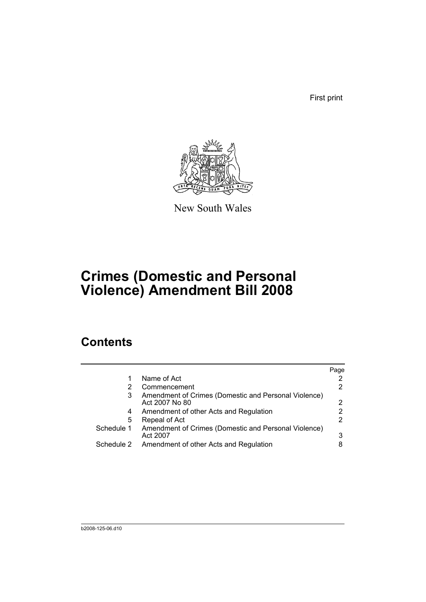First print



New South Wales

## **Crimes (Domestic and Personal Violence) Amendment Bill 2008**

## **Contents**

|            |                                                                        | Page |
|------------|------------------------------------------------------------------------|------|
|            | Name of Act                                                            |      |
| 2          | Commencement                                                           |      |
| 3          | Amendment of Crimes (Domestic and Personal Violence)<br>Act 2007 No 80 | 2    |
| 4          | Amendment of other Acts and Regulation                                 |      |
| 5          | Repeal of Act                                                          |      |
| Schedule 1 | Amendment of Crimes (Domestic and Personal Violence)<br>Act 2007       | 3    |
| Schedule 2 | Amendment of other Acts and Regulation                                 |      |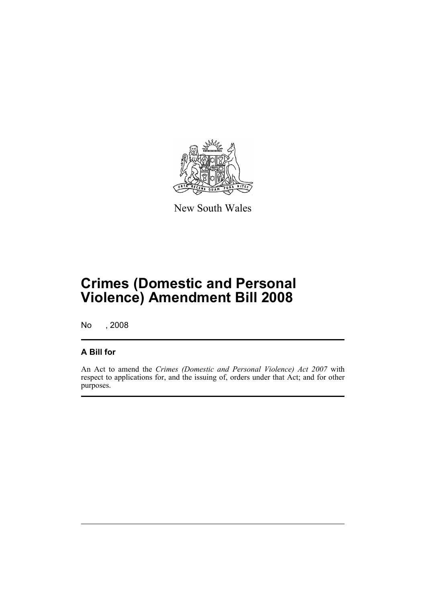

New South Wales

## **Crimes (Domestic and Personal Violence) Amendment Bill 2008**

No , 2008

### **A Bill for**

An Act to amend the *Crimes (Domestic and Personal Violence) Act 2007* with respect to applications for, and the issuing of, orders under that Act; and for other purposes.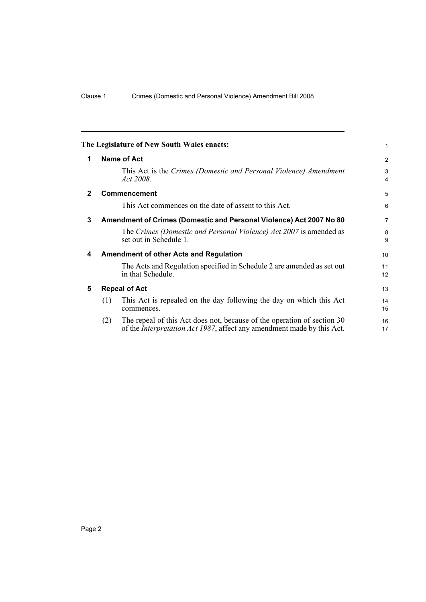<span id="page-7-4"></span><span id="page-7-3"></span><span id="page-7-2"></span><span id="page-7-1"></span><span id="page-7-0"></span>

|              |                                                                     | The Legislature of New South Wales enacts:                                                                                                                | 1                   |
|--------------|---------------------------------------------------------------------|-----------------------------------------------------------------------------------------------------------------------------------------------------------|---------------------|
| 1            | Name of Act                                                         |                                                                                                                                                           | 2                   |
|              |                                                                     | This Act is the Crimes (Domestic and Personal Violence) Amendment<br>Act 2008.                                                                            | 3<br>$\overline{4}$ |
| $\mathbf{2}$ |                                                                     | <b>Commencement</b>                                                                                                                                       | 5                   |
|              |                                                                     | This Act commences on the date of assent to this Act.                                                                                                     | 6                   |
| 3            | Amendment of Crimes (Domestic and Personal Violence) Act 2007 No 80 |                                                                                                                                                           | $\overline{7}$      |
|              |                                                                     | The Crimes (Domestic and Personal Violence) Act 2007 is amended as<br>set out in Schedule 1.                                                              | 8<br>9              |
| 4            |                                                                     | <b>Amendment of other Acts and Regulation</b>                                                                                                             | 10                  |
|              |                                                                     | The Acts and Regulation specified in Schedule 2 are amended as set out<br>in that Schedule.                                                               | 11<br>12            |
| 5            | <b>Repeal of Act</b>                                                |                                                                                                                                                           | 13                  |
|              | (1)                                                                 | This Act is repealed on the day following the day on which this Act<br>commences.                                                                         | 14<br>15            |
|              | (2)                                                                 | The repeal of this Act does not, because of the operation of section 30<br>of the <i>Interpretation Act 1987</i> , affect any amendment made by this Act. | 16<br>17            |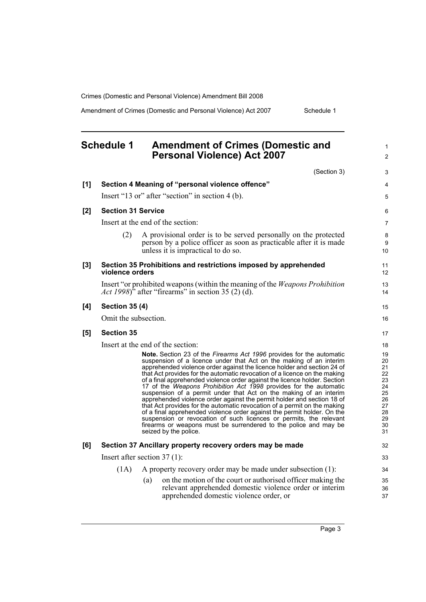Amendment of Crimes (Domestic and Personal Violence) Act 2007 Schedule 1

#### <span id="page-8-0"></span>**Schedule 1 Amendment of Crimes (Domestic and Personal Violence) Act 2007** (Section 3) **[1] Section 4 Meaning of "personal violence offence"** Insert "13 or" after "section" in section 4 (b). **[2] Section 31 Service** Insert at the end of the section: (2) A provisional order is to be served personally on the protected person by a police officer as soon as practicable after it is made unless it is impractical to do so. **[3] Section 35 Prohibitions and restrictions imposed by apprehended violence orders**  Insert "or prohibited weapons (within the meaning of the *Weapons Prohibition Act 1998*)<sup>\*</sup> after "firearms" in section 35 (2) (d). **[4] Section 35 (4)** Omit the subsection. **[5] Section 35** Insert at the end of the section: **Note.** Section 23 of the *Firearms Act 1996* provides for the automatic suspension of a licence under that Act on the making of an interim apprehended violence order against the licence holder and section 24 of that Act provides for the automatic revocation of a licence on the making of a final apprehended violence order against the licence holder. Section 17 of the *Weapons Prohibition Act 1998* provides for the automatic suspension of a permit under that Act on the making of an interim apprehended violence order against the permit holder and section 18 of that Act provides for the automatic revocation of a permit on the making of a final apprehended violence order against the permit holder. On the suspension or revocation of such licences or permits, the relevant firearms or weapons must be surrendered to the police and may be seized by the police. **[6] Section 37 Ancillary property recovery orders may be made** Insert after section 37 (1): (1A) A property recovery order may be made under subsection (1): (a) on the motion of the court or authorised officer making the relevant apprehended domestic violence order or interim apprehended domestic violence order, or 1  $\mathfrak{p}$ 3 4 5 6 7 8 **9** 10 11 12 13 14 15 16 17 18 19 20 21 22 23 24 25 26  $\frac{1}{27}$ 28 29 30 31 32 33 34 35 36 37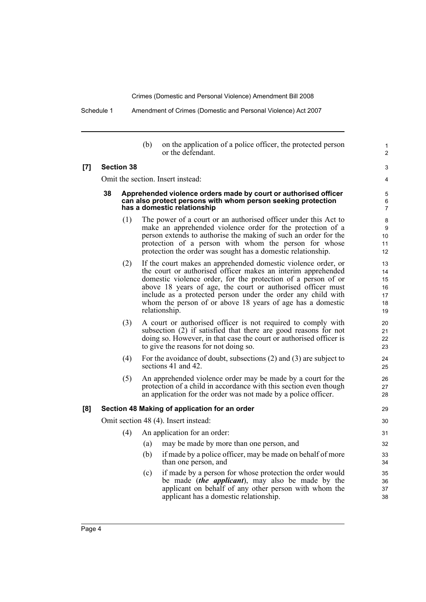Schedule 1 Amendment of Crimes (Domestic and Personal Violence) Act 2007

| on the application of a police officer, the protected person |
|--------------------------------------------------------------|
| or the defendant.                                            |

1  $\overline{2}$ 

3 4

#### **[7] Section 38**

Omit the section. Insert instead:

#### **38 Apprehended violence orders made by court or authorised officer can also protect persons with whom person seeking protection has a domestic relationship**

- (1) The power of a court or an authorised officer under this Act to make an apprehended violence order for the protection of a person extends to authorise the making of such an order for the protection of a person with whom the person for whose protection the order was sought has a domestic relationship.
- (2) If the court makes an apprehended domestic violence order, or the court or authorised officer makes an interim apprehended domestic violence order, for the protection of a person of or above 18 years of age, the court or authorised officer must include as a protected person under the order any child with whom the person of or above 18 years of age has a domestic relationship.
- (3) A court or authorised officer is not required to comply with subsection (2) if satisfied that there are good reasons for not doing so. However, in that case the court or authorised officer is to give the reasons for not doing so.
- (4) For the avoidance of doubt, subsections (2) and (3) are subject to sections 41 and 42.
- (5) An apprehended violence order may be made by a court for the protection of a child in accordance with this section even though an application for the order was not made by a police officer.

#### **[8] Section 48 Making of application for an order**

Omit section 48 (4). Insert instead:

| (4) | An application for an order: |                                          |  |
|-----|------------------------------|------------------------------------------|--|
|     |                              | may be made by more than one person, and |  |

- (b) if made by a police officer, may be made on behalf of more than one person, and
- (c) if made by a person for whose protection the order would be made (*the applicant*), may also be made by the applicant on behalf of any other person with whom the applicant has a domestic relationship.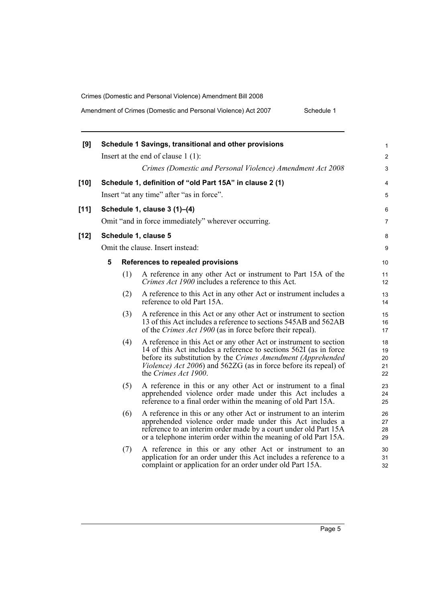Amendment of Crimes (Domestic and Personal Violence) Act 2007 Schedule 1

| [9]    |   |     | Schedule 1 Savings, transitional and other provisions                                                                                                                                                                                                                                              | 1                          |
|--------|---|-----|----------------------------------------------------------------------------------------------------------------------------------------------------------------------------------------------------------------------------------------------------------------------------------------------------|----------------------------|
|        |   |     | Insert at the end of clause $1(1)$ :                                                                                                                                                                                                                                                               | $\overline{2}$             |
|        |   |     | Crimes (Domestic and Personal Violence) Amendment Act 2008                                                                                                                                                                                                                                         | 3                          |
| [10]   |   |     | Schedule 1, definition of "old Part 15A" in clause 2 (1)                                                                                                                                                                                                                                           | 4                          |
|        |   |     | Insert "at any time" after "as in force".                                                                                                                                                                                                                                                          | 5                          |
| $[11]$ |   |     | Schedule 1, clause 3 (1)-(4)                                                                                                                                                                                                                                                                       | 6                          |
|        |   |     | Omit "and in force immediately" wherever occurring.                                                                                                                                                                                                                                                | 7                          |
| [12]   |   |     | Schedule 1, clause 5                                                                                                                                                                                                                                                                               | 8                          |
|        |   |     | Omit the clause. Insert instead:                                                                                                                                                                                                                                                                   | 9                          |
|        | 5 |     | References to repealed provisions                                                                                                                                                                                                                                                                  | 10                         |
|        |   | (1) | A reference in any other Act or instrument to Part 15A of the<br>Crimes Act 1900 includes a reference to this Act.                                                                                                                                                                                 | 11<br>12                   |
|        |   | (2) | A reference to this Act in any other Act or instrument includes a<br>reference to old Part 15A.                                                                                                                                                                                                    | 13<br>14                   |
|        |   | (3) | A reference in this Act or any other Act or instrument to section<br>13 of this Act includes a reference to sections 545AB and 562AB<br>of the Crimes Act 1900 (as in force before their repeal).                                                                                                  | 15<br>16<br>17             |
|        |   | (4) | A reference in this Act or any other Act or instrument to section<br>14 of this Act includes a reference to sections 562I (as in force<br>before its substitution by the Crimes Amendment (Apprehended<br>Violence) Act 2006) and 562ZG (as in force before its repeal) of<br>the Crimes Act 1900. | 18<br>19<br>20<br>21<br>22 |
|        |   | (5) | A reference in this or any other Act or instrument to a final<br>apprehended violence order made under this Act includes a<br>reference to a final order within the meaning of old Part 15A.                                                                                                       | 23<br>24<br>25             |
|        |   | (6) | A reference in this or any other Act or instrument to an interim<br>apprehended violence order made under this Act includes a<br>reference to an interim order made by a court under old Part 15A<br>or a telephone interim order within the meaning of old Part 15A.                              | 26<br>27<br>28<br>29       |
|        |   | (7) | A reference in this or any other Act or instrument to an<br>application for an order under this Act includes a reference to a<br>complaint or application for an order under old Part 15A.                                                                                                         | 30<br>31<br>32             |
|        |   |     |                                                                                                                                                                                                                                                                                                    |                            |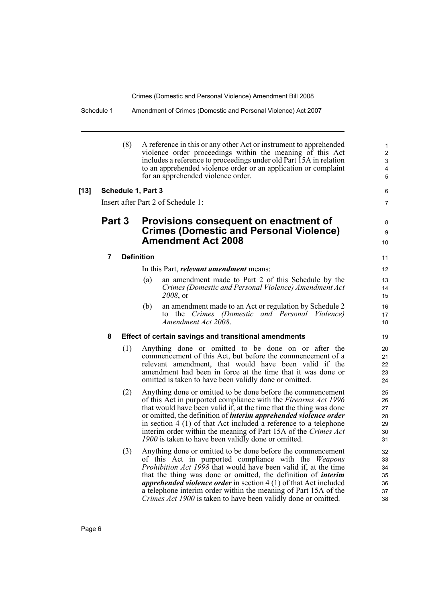| 1<br>$\overline{c}$<br>$\ensuremath{\mathsf{3}}$<br>$\overline{\mathbf{4}}$<br>5 | A reference in this or any other Act or instrument to apprehended<br>violence order proceedings within the meaning of this Act<br>includes a reference to proceedings under old Part 15A in relation<br>to an apprehended violence order or an application or complaint<br>for an apprehended violence order. | (8)                |        |
|----------------------------------------------------------------------------------|---------------------------------------------------------------------------------------------------------------------------------------------------------------------------------------------------------------------------------------------------------------------------------------------------------------|--------------------|--------|
| 6                                                                                |                                                                                                                                                                                                                                                                                                               | Schedule 1, Part 3 | $[13]$ |
| 7                                                                                | Insert after Part 2 of Schedule 1:                                                                                                                                                                                                                                                                            |                    |        |
| 8<br>9<br>10                                                                     | Provisions consequent on enactment of<br><b>Crimes (Domestic and Personal Violence)</b><br><b>Amendment Act 2008</b>                                                                                                                                                                                          | Part 3             |        |
| 11                                                                               | <b>Definition</b>                                                                                                                                                                                                                                                                                             | 7                  |        |
| 12                                                                               | In this Part, <i>relevant amendment</i> means:                                                                                                                                                                                                                                                                |                    |        |
| 13                                                                               | an amendment made to Part 2 of this Schedule by the<br>(a)                                                                                                                                                                                                                                                    |                    |        |
| 14                                                                               | Crimes (Domestic and Personal Violence) Amendment Act                                                                                                                                                                                                                                                         |                    |        |
| 15                                                                               | 2008, or                                                                                                                                                                                                                                                                                                      |                    |        |
| 16<br>17                                                                         | (b)<br>an amendment made to an Act or regulation by Schedule 2<br>to the Crimes (Domestic and Personal Violence)                                                                                                                                                                                              |                    |        |
| 18                                                                               | Amendment Act 2008.                                                                                                                                                                                                                                                                                           |                    |        |
| 19                                                                               | <b>Effect of certain savings and transitional amendments</b>                                                                                                                                                                                                                                                  | 8                  |        |
| 20<br>21<br>22<br>23<br>24                                                       | Anything done or omitted to be done on or after the<br>commencement of this Act, but before the commencement of a<br>relevant amendment, that would have been valid if the<br>amendment had been in force at the time that it was done or<br>omitted is taken to have been validly done or omitted.           | (1)                |        |
| 25                                                                               | Anything done or omitted to be done before the commencement                                                                                                                                                                                                                                                   | (2)                |        |
| 26<br>27                                                                         | of this Act in purported compliance with the <i>Firearms Act 1996</i><br>that would have been valid if, at the time that the thing was done                                                                                                                                                                   |                    |        |
| 28                                                                               | or omitted, the definition of <i>interim apprehended violence order</i>                                                                                                                                                                                                                                       |                    |        |
| 29                                                                               | in section $4(1)$ of that Act included a reference to a telephone                                                                                                                                                                                                                                             |                    |        |
| 30<br>31                                                                         | interim order within the meaning of Part 15A of the Crimes Act<br>1900 is taken to have been validly done or omitted.                                                                                                                                                                                         |                    |        |
| 32                                                                               | Anything done or omitted to be done before the commencement                                                                                                                                                                                                                                                   | (3)                |        |
| 33                                                                               | of this Act in purported compliance with the <i>Weapons</i>                                                                                                                                                                                                                                                   |                    |        |
| 34<br>35                                                                         | <i>Prohibition Act 1998</i> that would have been valid if, at the time<br>that the thing was done or omitted, the definition of <i>interim</i>                                                                                                                                                                |                    |        |
| 36                                                                               | <i>apprehended violence order</i> in section $4(1)$ of that Act included                                                                                                                                                                                                                                      |                    |        |
| 37                                                                               | a telephone interim order within the meaning of Part 15A of the                                                                                                                                                                                                                                               |                    |        |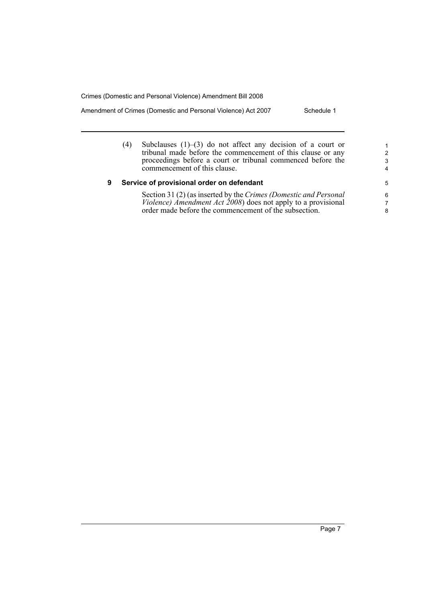Amendment of Crimes (Domestic and Personal Violence) Act 2007 Schedule 1

(4) Subclauses (1)–(3) do not affect any decision of a court or tribunal made before the commencement of this clause or any proceedings before a court or tribunal commenced before the commencement of this clause.

#### **9 Service of provisional order on defendant**

Section 31 (2) (as inserted by the *Crimes (Domestic and Personal Violence) Amendment Act 2008*) does not apply to a provisional order made before the commencement of the subsection.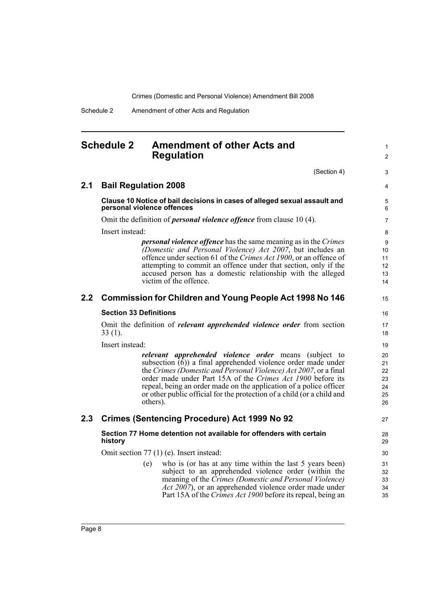Schedule 2 Amendment of other Acts and Regulation

### <span id="page-13-0"></span>**Schedule 2 Amendment of other Acts and Regulation**

(Section 4)

1 2

3

| 2.1     | <b>Bail Regulation 2008</b>                                                                                                                                                                                                                                                                                                                                                                                                          | 4                                      |
|---------|--------------------------------------------------------------------------------------------------------------------------------------------------------------------------------------------------------------------------------------------------------------------------------------------------------------------------------------------------------------------------------------------------------------------------------------|----------------------------------------|
|         | Clause 10 Notice of bail decisions in cases of alleged sexual assault and<br>personal violence offences                                                                                                                                                                                                                                                                                                                              | 5<br>6                                 |
|         | Omit the definition of <i>personal violence offence</i> from clause 10 (4).                                                                                                                                                                                                                                                                                                                                                          | $\overline{7}$                         |
|         | Insert instead:                                                                                                                                                                                                                                                                                                                                                                                                                      | 8                                      |
|         | <i>personal violence offence</i> has the same meaning as in the Crimes<br>(Domestic and Personal Violence) Act 2007, but includes an<br>offence under section 61 of the Crimes Act 1900, or an offence of<br>attempting to commit an offence under that section, only if the<br>accused person has a domestic relationship with the alleged<br>victim of the offence.                                                                | 9<br>10<br>11<br>12<br>13<br>14        |
| $2.2\,$ | <b>Commission for Children and Young People Act 1998 No 146</b>                                                                                                                                                                                                                                                                                                                                                                      | 15                                     |
|         | <b>Section 33 Definitions</b>                                                                                                                                                                                                                                                                                                                                                                                                        | 16                                     |
|         | Omit the definition of <i>relevant apprehended violence order</i> from section<br>$33(1)$ .                                                                                                                                                                                                                                                                                                                                          | 17<br>18                               |
|         | Insert instead:                                                                                                                                                                                                                                                                                                                                                                                                                      | 19                                     |
|         | relevant apprehended violence order means<br>(subject to<br>subsection $\overline{(6)}$ a final apprehended violence order made under<br>the Crimes (Domestic and Personal Violence) Act 2007, or a final<br>order made under Part 15A of the Crimes Act 1900 before its<br>repeal, being an order made on the application of a police officer<br>or other public official for the protection of a child (or a child and<br>others). | 20<br>21<br>22<br>23<br>24<br>25<br>26 |
| 2.3     | <b>Crimes (Sentencing Procedure) Act 1999 No 92</b>                                                                                                                                                                                                                                                                                                                                                                                  | 27                                     |
|         | Section 77 Home detention not available for offenders with certain<br>history                                                                                                                                                                                                                                                                                                                                                        | 28<br>29                               |
|         | Omit section 77 (1) (e). Insert instead:                                                                                                                                                                                                                                                                                                                                                                                             | 30                                     |
|         | who is (or has at any time within the last 5 years been)<br>(e)<br>subject to an apprehended violence order (within the<br>meaning of the <i>Crimes (Domestic and Personal Violence)</i><br><i>Act 2007</i> ), or an apprehended violence order made under<br>Part 15A of the Crimes Act 1900 before its repeal, being an                                                                                                            | 31<br>32<br>33<br>34<br>35             |